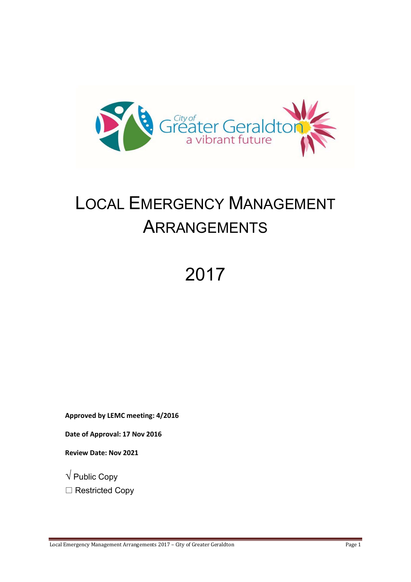

# LOCAL EMERGENCY MANAGEMENT ARRANGEMENTS

# 2017

Approved by LEMC meeting: 4/2016

Date of Approval: 17 Nov 2016

Review Date: Nov 2021

 $\sqrt{}$  Public Copy

□ Restricted Copy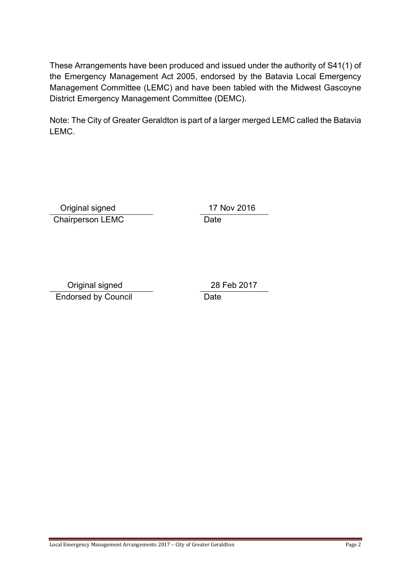These Arrangements have been produced and issued under the authority of S41(1) of the Emergency Management Act 2005, endorsed by the Batavia Local Emergency Management Committee (LEMC) and have been tabled with the Midwest Gascoyne District Emergency Management Committee (DEMC).

Note: The City of Greater Geraldton is part of a larger merged LEMC called the Batavia LEMC.

 Original signed Chairperson LEMC Date

17 Nov 2016

 Original signed Endorsed by Council Date

28 Feb 2017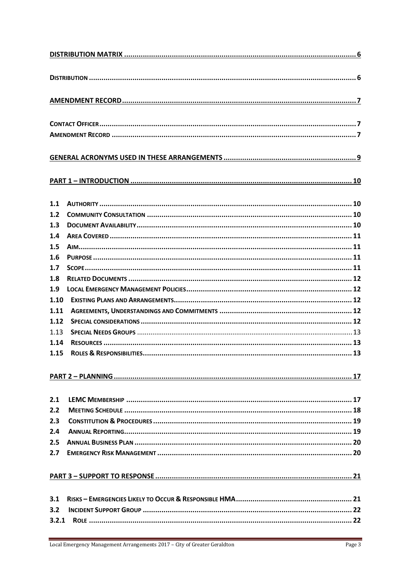| 1.1   |  |  |
|-------|--|--|
| 1.2   |  |  |
| 1.3   |  |  |
| 1.4   |  |  |
| 1.5   |  |  |
| 1.6   |  |  |
| 1.7   |  |  |
| 1.8   |  |  |
| 1.9   |  |  |
| 1.10  |  |  |
| 1.11  |  |  |
| 1.12  |  |  |
| 1.13  |  |  |
| 1.14  |  |  |
| 1.15  |  |  |
|       |  |  |
| 2.1   |  |  |
| 2.2   |  |  |
| 2.3   |  |  |
| 2.4   |  |  |
| 2.5   |  |  |
| 2.7   |  |  |
|       |  |  |
| 3.1   |  |  |
| 3.2   |  |  |
| 3.2.1 |  |  |
|       |  |  |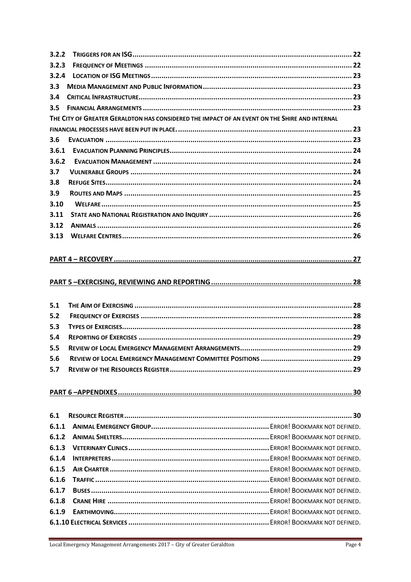| 3.2.2 |                                                                                               |  |
|-------|-----------------------------------------------------------------------------------------------|--|
| 3.2.3 |                                                                                               |  |
| 3.2.4 |                                                                                               |  |
| 3.3   |                                                                                               |  |
| 3.4   |                                                                                               |  |
| 3.5   |                                                                                               |  |
|       | THE CITY OF GREATER GERALDTON HAS CONSIDERED THE IMPACT OF AN EVENT ON THE SHIRE AND INTERNAL |  |
|       |                                                                                               |  |
| 3.6   |                                                                                               |  |
| 3.6.1 |                                                                                               |  |
| 3.6.2 |                                                                                               |  |
| 3.7   |                                                                                               |  |
| 3.8   |                                                                                               |  |
| 3.9   |                                                                                               |  |
| 3.10  |                                                                                               |  |
| 3.11  |                                                                                               |  |
| 3.12  |                                                                                               |  |
| 3.13  |                                                                                               |  |
|       |                                                                                               |  |
|       |                                                                                               |  |
|       |                                                                                               |  |
|       |                                                                                               |  |
|       |                                                                                               |  |
| 5.1   |                                                                                               |  |
| 5.2   |                                                                                               |  |
| 5.3   |                                                                                               |  |
| 5.4   |                                                                                               |  |
| 5.5   |                                                                                               |  |
| 5.6   |                                                                                               |  |
| 5.7   |                                                                                               |  |
|       |                                                                                               |  |
|       |                                                                                               |  |
|       |                                                                                               |  |
|       |                                                                                               |  |
| 6.1   |                                                                                               |  |
| 6.1.1 |                                                                                               |  |
| 6.1.2 |                                                                                               |  |
| 6.1.3 |                                                                                               |  |
| 6.1.4 |                                                                                               |  |
| 6.1.5 |                                                                                               |  |
| 6.1.6 |                                                                                               |  |
| 6.1.7 |                                                                                               |  |
| 6.1.8 |                                                                                               |  |
| 6.1.9 |                                                                                               |  |
|       |                                                                                               |  |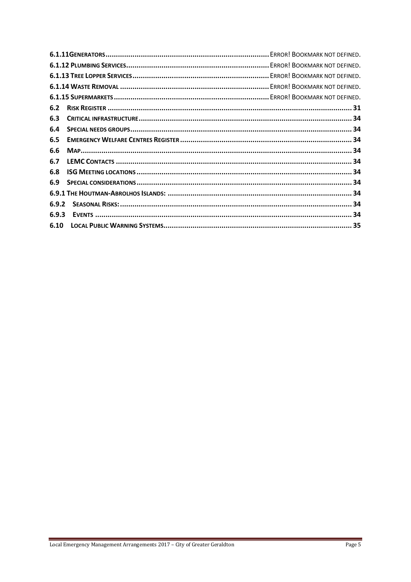| 6.2   |  |
|-------|--|
| 6.3   |  |
| 6.4   |  |
| 6.5   |  |
| 6.6   |  |
| 6.7   |  |
| 6.8   |  |
| 6.9   |  |
|       |  |
| 6.9.2 |  |
| 6.9.3 |  |
|       |  |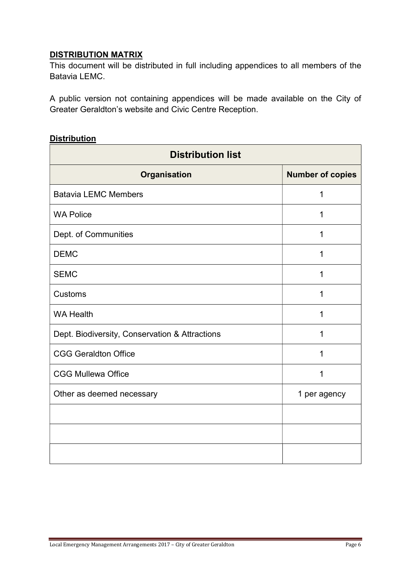## DISTRIBUTION MATRIX

This document will be distributed in full including appendices to all members of the Batavia LEMC.

A public version not containing appendices will be made available on the City of Greater Geraldton's website and Civic Centre Reception.

#### **Distribution**

| <b>Distribution list</b>                       |                         |  |
|------------------------------------------------|-------------------------|--|
| Organisation                                   | <b>Number of copies</b> |  |
| <b>Batavia LEMC Members</b>                    | 1                       |  |
| <b>WA Police</b>                               | 1                       |  |
| Dept. of Communities                           | 1                       |  |
| <b>DEMC</b>                                    | 1                       |  |
| <b>SEMC</b>                                    | 1                       |  |
| Customs                                        | 1                       |  |
| <b>WA Health</b>                               | 1                       |  |
| Dept. Biodiversity, Conservation & Attractions | 1                       |  |
| <b>CGG Geraldton Office</b>                    | 1                       |  |
| <b>CGG Mullewa Office</b>                      | 1                       |  |
| Other as deemed necessary                      | 1 per agency            |  |
|                                                |                         |  |
|                                                |                         |  |
|                                                |                         |  |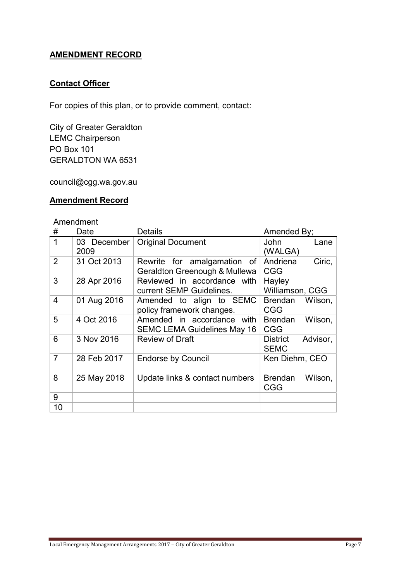## AMENDMENT RECORD

#### **Contact Officer**

For copies of this plan, or to provide comment, contact:

City of Greater Geraldton LEMC Chairperson PO Box 101 GERALDTON WA 6531

council@cgg.wa.gov.au

#### Amendment Record

#### Amendment

| #              | Date        | <b>Details</b>                     | Amended By;     |          |
|----------------|-------------|------------------------------------|-----------------|----------|
| $\mathbf 1$    | 03 December | <b>Original Document</b>           | John            | Lane     |
|                | 2009        |                                    | (WALGA)         |          |
| $\overline{2}$ | 31 Oct 2013 | Rewrite for amalgamation of        | Andriena        | Ciric,   |
|                |             | Geraldton Greenough & Mullewa      | <b>CGG</b>      |          |
| 3              | 28 Apr 2016 | Reviewed in accordance with        | Hayley          |          |
|                |             | current SEMP Guidelines.           | Williamson, CGG |          |
| $\overline{4}$ | 01 Aug 2016 | Amended to align to SEMC           | <b>Brendan</b>  | Wilson,  |
|                |             | policy framework changes.          | <b>CGG</b>      |          |
| 5              | 4 Oct 2016  | Amended in accordance with         | <b>Brendan</b>  | Wilson,  |
|                |             | <b>SEMC LEMA Guidelines May 16</b> | <b>CGG</b>      |          |
| 6              | 3 Nov 2016  | <b>Review of Draft</b>             | <b>District</b> | Advisor, |
|                |             |                                    | <b>SEMC</b>     |          |
| $\overline{7}$ | 28 Feb 2017 | <b>Endorse by Council</b>          | Ken Diehm, CEO  |          |
|                |             |                                    |                 |          |
| 8              | 25 May 2018 | Update links & contact numbers     | <b>Brendan</b>  | Wilson,  |
|                |             |                                    | <b>CGG</b>      |          |
| 9              |             |                                    |                 |          |
| 10             |             |                                    |                 |          |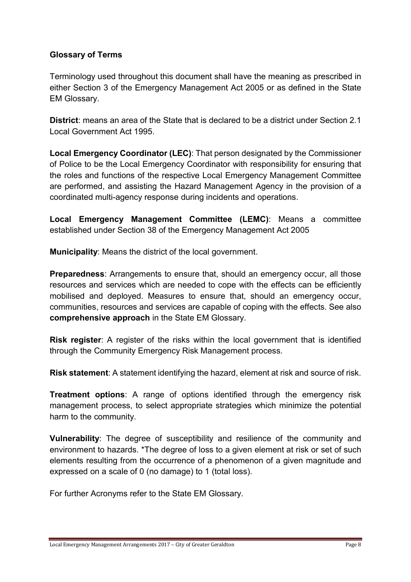#### Glossary of Terms

Terminology used throughout this document shall have the meaning as prescribed in either Section 3 of the Emergency Management Act 2005 or as defined in the State EM Glossary.

District: means an area of the State that is declared to be a district under Section 2.1 Local Government Act 1995.

Local Emergency Coordinator (LEC): That person designated by the Commissioner of Police to be the Local Emergency Coordinator with responsibility for ensuring that the roles and functions of the respective Local Emergency Management Committee are performed, and assisting the Hazard Management Agency in the provision of a coordinated multi-agency response during incidents and operations.

Local Emergency Management Committee (LEMC): Means a committee established under Section 38 of the Emergency Management Act 2005

Municipality: Means the district of the local government.

**Preparedness:** Arrangements to ensure that, should an emergency occur, all those resources and services which are needed to cope with the effects can be efficiently mobilised and deployed. Measures to ensure that, should an emergency occur, communities, resources and services are capable of coping with the effects. See also comprehensive approach in the State EM Glossary.

Risk register: A register of the risks within the local government that is identified through the Community Emergency Risk Management process.

Risk statement: A statement identifying the hazard, element at risk and source of risk.

**Treatment options:** A range of options identified through the emergency risk management process, to select appropriate strategies which minimize the potential harm to the community.

Vulnerability: The degree of susceptibility and resilience of the community and environment to hazards. \*The degree of loss to a given element at risk or set of such elements resulting from the occurrence of a phenomenon of a given magnitude and expressed on a scale of 0 (no damage) to 1 (total loss).

For further Acronyms refer to the State EM Glossary.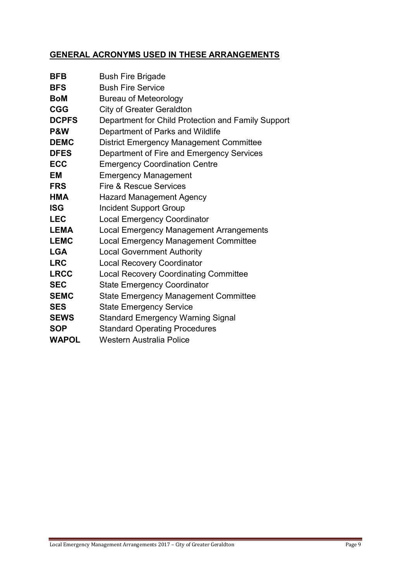## GENERAL ACRONYMS USED IN THESE ARRANGEMENTS

| <b>BFB</b>     | <b>Bush Fire Brigade</b>                           |
|----------------|----------------------------------------------------|
| <b>BFS</b>     | <b>Bush Fire Service</b>                           |
| <b>BoM</b>     | <b>Bureau of Meteorology</b>                       |
| <b>CGG</b>     | <b>City of Greater Geraldton</b>                   |
| <b>DCPFS</b>   | Department for Child Protection and Family Support |
| <b>P&amp;W</b> | Department of Parks and Wildlife                   |
| <b>DEMC</b>    | <b>District Emergency Management Committee</b>     |
| <b>DFES</b>    | Department of Fire and Emergency Services          |
| <b>ECC</b>     | <b>Emergency Coordination Centre</b>               |
| <b>EM</b>      | <b>Emergency Management</b>                        |
| <b>FRS</b>     | Fire & Rescue Services                             |
| <b>HMA</b>     | <b>Hazard Management Agency</b>                    |
| <b>ISG</b>     | <b>Incident Support Group</b>                      |
| <b>LEC</b>     | <b>Local Emergency Coordinator</b>                 |
| <b>LEMA</b>    | <b>Local Emergency Management Arrangements</b>     |
| <b>LEMC</b>    | <b>Local Emergency Management Committee</b>        |
| <b>LGA</b>     | <b>Local Government Authority</b>                  |
| <b>LRC</b>     | <b>Local Recovery Coordinator</b>                  |
| <b>LRCC</b>    | <b>Local Recovery Coordinating Committee</b>       |
| <b>SEC</b>     | <b>State Emergency Coordinator</b>                 |
| <b>SEMC</b>    | <b>State Emergency Management Committee</b>        |
| <b>SES</b>     | <b>State Emergency Service</b>                     |
| <b>SEWS</b>    | <b>Standard Emergency Warning Signal</b>           |
| <b>SOP</b>     | <b>Standard Operating Procedures</b>               |
| <b>WAPOL</b>   | <b>Western Australia Police</b>                    |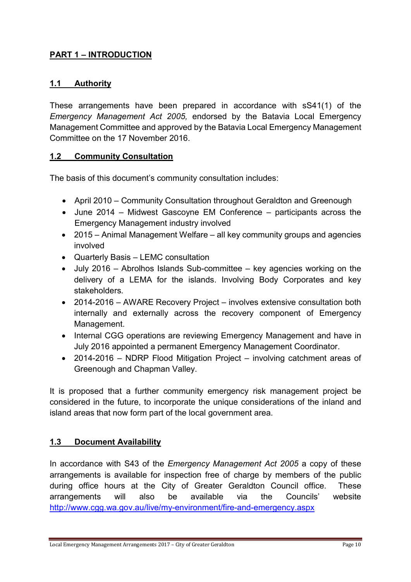## PART 1 – INTRODUCTION

#### 1.1 Authority

These arrangements have been prepared in accordance with sS41(1) of the Emergency Management Act 2005, endorsed by the Batavia Local Emergency Management Committee and approved by the Batavia Local Emergency Management Committee on the 17 November 2016.

#### 1.2 Community Consultation

The basis of this document's community consultation includes:

- April 2010 Community Consultation throughout Geraldton and Greenough
- June 2014 Midwest Gascoyne EM Conference participants across the Emergency Management industry involved
- 2015 Animal Management Welfare all key community groups and agencies involved
- Quarterly Basis LEMC consultation
- July 2016 Abrolhos Islands Sub-committee key agencies working on the delivery of a LEMA for the islands. Involving Body Corporates and key stakeholders.
- 2014-2016 AWARE Recovery Project involves extensive consultation both internally and externally across the recovery component of Emergency Management.
- Internal CGG operations are reviewing Emergency Management and have in July 2016 appointed a permanent Emergency Management Coordinator.
- 2014-2016 NDRP Flood Mitigation Project involving catchment areas of Greenough and Chapman Valley.

It is proposed that a further community emergency risk management project be considered in the future, to incorporate the unique considerations of the inland and island areas that now form part of the local government area.

#### 1.3 Document Availability

In accordance with S43 of the Emergency Management Act 2005 a copy of these arrangements is available for inspection free of charge by members of the public during office hours at the City of Greater Geraldton Council office. These arrangements will also be available via the Councils' website http://www.cgg.wa.gov.au/live/my-environment/fire-and-emergency.aspx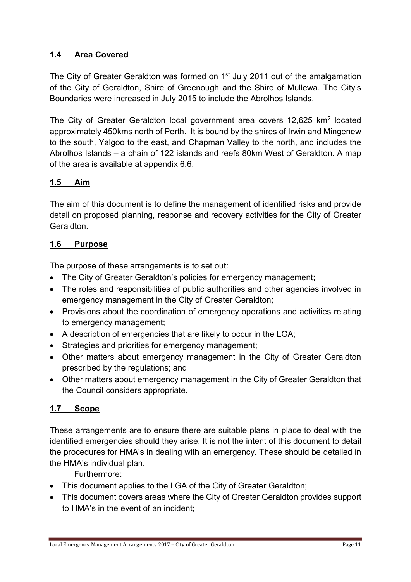## 1.4 Area Covered

The City of Greater Geraldton was formed on 1<sup>st</sup> July 2011 out of the amalgamation of the City of Geraldton, Shire of Greenough and the Shire of Mullewa. The City's Boundaries were increased in July 2015 to include the Abrolhos Islands.

The City of Greater Geraldton local government area covers 12,625 km<sup>2</sup> located approximately 450kms north of Perth. It is bound by the shires of Irwin and Mingenew to the south, Yalgoo to the east, and Chapman Valley to the north, and includes the Abrolhos Islands – a chain of 122 islands and reefs 80km West of Geraldton. A map of the area is available at appendix 6.6.

#### 1.5 Aim

The aim of this document is to define the management of identified risks and provide detail on proposed planning, response and recovery activities for the City of Greater **Geraldton** 

#### 1.6 Purpose

The purpose of these arrangements is to set out:

- The City of Greater Geraldton's policies for emergency management;
- The roles and responsibilities of public authorities and other agencies involved in emergency management in the City of Greater Geraldton;
- Provisions about the coordination of emergency operations and activities relating to emergency management;
- A description of emergencies that are likely to occur in the LGA;
- Strategies and priorities for emergency management;
- Other matters about emergency management in the City of Greater Geraldton prescribed by the regulations; and
- Other matters about emergency management in the City of Greater Geraldton that the Council considers appropriate.

#### 1.7 Scope

These arrangements are to ensure there are suitable plans in place to deal with the identified emergencies should they arise. It is not the intent of this document to detail the procedures for HMA's in dealing with an emergency. These should be detailed in the HMA's individual plan.

Furthermore:

- This document applies to the LGA of the City of Greater Geraldton;
- This document covers areas where the City of Greater Geraldton provides support to HMA's in the event of an incident;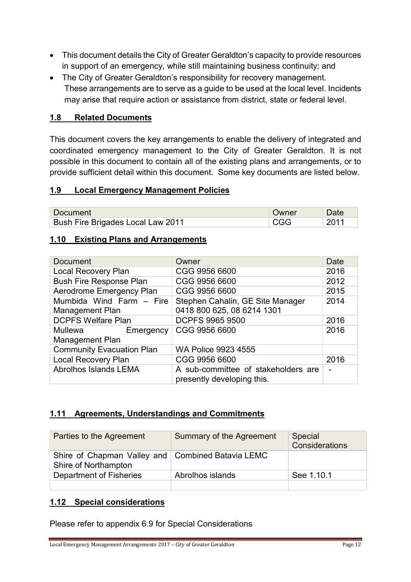- This document details the City of Greater Geraldton's capacity to provide resources in support of an emergency, while still maintaining business continuity; and
- The City of Greater Geraldton's responsibility for recovery management. These arrangements are to serve as a guide to be used at the local level. Incidents may arise that require action or assistance from district, state or federal level.

#### 1.8 Related Documents

This document covers the key arrangements to enable the delivery of integrated and coordinated emergency management to the City of Greater Geraldton. It is not possible in this document to contain all of the existing plans and arrangements, or to provide sufficient detail within this document. Some key documents are listed below.

#### 1.9 Local Emergency Management Policies

| <b>Document</b>                   | Owner |  |
|-----------------------------------|-------|--|
| Bush Fire Brigades Local Law 2011 |       |  |

#### 1.10 Existing Plans and Arrangements

| <b>Document</b>                                    | Owner                                                             | Date |
|----------------------------------------------------|-------------------------------------------------------------------|------|
| <b>Local Recovery Plan</b>                         | CGG 9956 6600                                                     | 2016 |
| <b>Bush Fire Response Plan</b>                     | CGG 9956 6600                                                     | 2012 |
| Aerodrome Emergency Plan                           | CGG 9956 6600                                                     | 2015 |
| Mumbida Wind Farm - Fire<br><b>Management Plan</b> | Stephen Cahalin, GE Site Manager<br>0418 800 625, 08 6214 1301    | 2014 |
| <b>DCPFS Welfare Plan</b>                          | <b>DCPFS 9965 9500</b>                                            | 2016 |
| Mullewa<br>Emergency<br><b>Management Plan</b>     | CGG 9956 6600                                                     | 2016 |
| <b>Community Evacuation Plan</b>                   | <b>WA Police 9923 4555</b>                                        |      |
| <b>Local Recovery Plan</b>                         | CGG 9956 6600                                                     | 2016 |
| Abrolhos Islands LEMA                              | A sub-committee of stakeholders are<br>presently developing this. |      |

#### 1.11 Agreements, Understandings and Commitments

| Parties to the Agreement                                                  | Summary of the Agreement | Special<br><b>Considerations</b> |
|---------------------------------------------------------------------------|--------------------------|----------------------------------|
| Shire of Chapman Valley and Combined Batavia LEMC<br>Shire of Northampton |                          |                                  |
| Department of Fisheries                                                   | Abrolhos islands         | See 1.10.1                       |
|                                                                           |                          |                                  |

#### 1.12 Special considerations

Please refer to appendix 6.9 for Special Considerations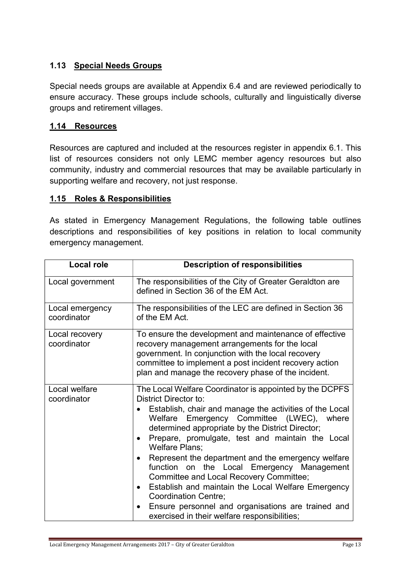## 1.13 Special Needs Groups

Special needs groups are available at Appendix 6.4 and are reviewed periodically to ensure accuracy. These groups include schools, culturally and linguistically diverse groups and retirement villages.

#### 1.14 Resources

Resources are captured and included at the resources register in appendix 6.1. This list of resources considers not only LEMC member agency resources but also community, industry and commercial resources that may be available particularly in supporting welfare and recovery, not just response.

#### 1.15 Roles & Responsibilities

As stated in Emergency Management Regulations, the following table outlines descriptions and responsibilities of key positions in relation to local community emergency management.

| <b>Local role</b>              | <b>Description of responsibilities</b>                                                                                                                                                                                                                                                                                                                                                                                                                                                                                                                                                                                                                                                               |  |
|--------------------------------|------------------------------------------------------------------------------------------------------------------------------------------------------------------------------------------------------------------------------------------------------------------------------------------------------------------------------------------------------------------------------------------------------------------------------------------------------------------------------------------------------------------------------------------------------------------------------------------------------------------------------------------------------------------------------------------------------|--|
| Local government               | The responsibilities of the City of Greater Geraldton are<br>defined in Section 36 of the EM Act.                                                                                                                                                                                                                                                                                                                                                                                                                                                                                                                                                                                                    |  |
| Local emergency<br>coordinator | The responsibilities of the LEC are defined in Section 36<br>of the EM Act.                                                                                                                                                                                                                                                                                                                                                                                                                                                                                                                                                                                                                          |  |
| Local recovery<br>coordinator  | To ensure the development and maintenance of effective<br>recovery management arrangements for the local<br>government. In conjunction with the local recovery<br>committee to implement a post incident recovery action<br>plan and manage the recovery phase of the incident.                                                                                                                                                                                                                                                                                                                                                                                                                      |  |
| Local welfare<br>coordinator   | The Local Welfare Coordinator is appointed by the DCPFS<br><b>District Director to:</b><br>Establish, chair and manage the activities of the Local<br>Welfare Emergency Committee (LWEC), where<br>determined appropriate by the District Director;<br>Prepare, promulgate, test and maintain the Local<br>$\bullet$<br><b>Welfare Plans;</b><br>Represent the department and the emergency welfare<br>function on the Local Emergency Management<br>Committee and Local Recovery Committee;<br>Establish and maintain the Local Welfare Emergency<br>$\bullet$<br><b>Coordination Centre;</b><br>Ensure personnel and organisations are trained and<br>exercised in their welfare responsibilities; |  |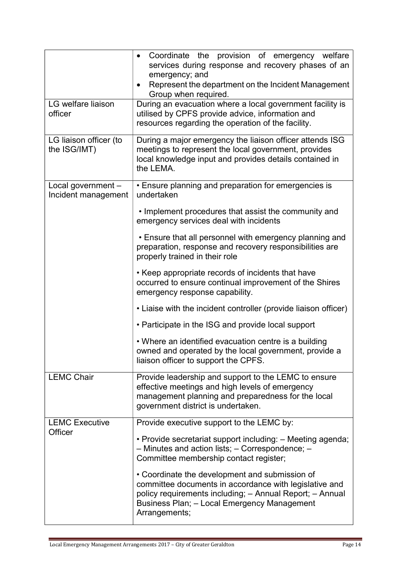| LG welfare liaison<br>officer             | Coordinate the provision of emergency welfare<br>$\bullet$<br>services during response and recovery phases of an<br>emergency; and<br>Represent the department on the Incident Management<br>Group when required.<br>During an evacuation where a local government facility is<br>utilised by CPFS provide advice, information and<br>resources regarding the operation of the facility. |  |  |
|-------------------------------------------|------------------------------------------------------------------------------------------------------------------------------------------------------------------------------------------------------------------------------------------------------------------------------------------------------------------------------------------------------------------------------------------|--|--|
| LG liaison officer (to<br>the ISG/IMT)    | During a major emergency the liaison officer attends ISG<br>meetings to represent the local government, provides<br>local knowledge input and provides details contained in<br>the LEMA.                                                                                                                                                                                                 |  |  |
| Local government -<br>Incident management | • Ensure planning and preparation for emergencies is<br>undertaken<br>• Implement procedures that assist the community and<br>emergency services deal with incidents                                                                                                                                                                                                                     |  |  |
|                                           | • Ensure that all personnel with emergency planning and<br>preparation, response and recovery responsibilities are<br>properly trained in their role                                                                                                                                                                                                                                     |  |  |
|                                           | • Keep appropriate records of incidents that have<br>occurred to ensure continual improvement of the Shires<br>emergency response capability.                                                                                                                                                                                                                                            |  |  |
|                                           | • Liaise with the incident controller (provide liaison officer)                                                                                                                                                                                                                                                                                                                          |  |  |
|                                           | • Participate in the ISG and provide local support                                                                                                                                                                                                                                                                                                                                       |  |  |
|                                           | • Where an identified evacuation centre is a building<br>owned and operated by the local government, provide a<br>liaison officer to support the CPFS.                                                                                                                                                                                                                                   |  |  |
| <b>LEMC Chair</b>                         | Provide leadership and support to the LEMC to ensure<br>effective meetings and high levels of emergency<br>management planning and preparedness for the local<br>government district is undertaken.                                                                                                                                                                                      |  |  |
| <b>LEMC Executive</b><br>Officer          | Provide executive support to the LEMC by:                                                                                                                                                                                                                                                                                                                                                |  |  |
|                                           | • Provide secretariat support including: – Meeting agenda;<br>- Minutes and action lists; - Correspondence; -<br>Committee membership contact register;                                                                                                                                                                                                                                  |  |  |
|                                           | • Coordinate the development and submission of<br>committee documents in accordance with legislative and<br>policy requirements including; - Annual Report; - Annual<br>Business Plan; - Local Emergency Management<br>Arrangements;                                                                                                                                                     |  |  |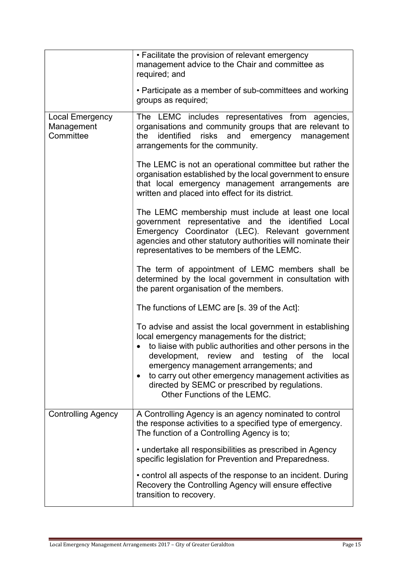|                                            | • Facilitate the provision of relevant emergency<br>management advice to the Chair and committee as<br>required; and                                                                                                                                                                                                                                                                                             |
|--------------------------------------------|------------------------------------------------------------------------------------------------------------------------------------------------------------------------------------------------------------------------------------------------------------------------------------------------------------------------------------------------------------------------------------------------------------------|
|                                            | • Participate as a member of sub-committees and working<br>groups as required;                                                                                                                                                                                                                                                                                                                                   |
| Local Emergency<br>Management<br>Committee | The LEMC includes representatives from agencies,<br>organisations and community groups that are relevant to<br>identified<br>risks<br>and emergency management<br>the<br>arrangements for the community.                                                                                                                                                                                                         |
|                                            | The LEMC is not an operational committee but rather the<br>organisation established by the local government to ensure<br>that local emergency management arrangements are<br>written and placed into effect for its district.                                                                                                                                                                                    |
|                                            | The LEMC membership must include at least one local<br>government representative and the identified Local<br>Emergency Coordinator (LEC). Relevant government<br>agencies and other statutory authorities will nominate their<br>representatives to be members of the LEMC.                                                                                                                                      |
|                                            | The term of appointment of LEMC members shall be<br>determined by the local government in consultation with<br>the parent organisation of the members.                                                                                                                                                                                                                                                           |
|                                            | The functions of LEMC are [s. 39 of the Act]:                                                                                                                                                                                                                                                                                                                                                                    |
|                                            | To advise and assist the local government in establishing<br>local emergency managements for the district;<br>to liaise with public authorities and other persons in the<br>development, review and testing of the<br>local<br>emergency management arrangements; and<br>to carry out other emergency management activities as<br>directed by SEMC or prescribed by regulations.<br>Other Functions of the LEMC. |
| <b>Controlling Agency</b>                  | A Controlling Agency is an agency nominated to control<br>the response activities to a specified type of emergency.<br>The function of a Controlling Agency is to;                                                                                                                                                                                                                                               |
|                                            | • undertake all responsibilities as prescribed in Agency<br>specific legislation for Prevention and Preparedness.                                                                                                                                                                                                                                                                                                |
|                                            | • control all aspects of the response to an incident. During<br>Recovery the Controlling Agency will ensure effective<br>transition to recovery.                                                                                                                                                                                                                                                                 |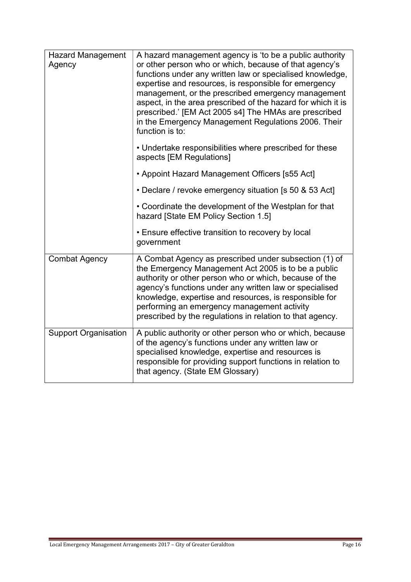| <b>Hazard Management</b><br>Agency | A hazard management agency is 'to be a public authority<br>or other person who or which, because of that agency's<br>functions under any written law or specialised knowledge,<br>expertise and resources, is responsible for emergency<br>management, or the prescribed emergency management<br>aspect, in the area prescribed of the hazard for which it is<br>prescribed.' [EM Act 2005 s4] The HMAs are prescribed<br>in the Emergency Management Regulations 2006. Their<br>function is to: |
|------------------------------------|--------------------------------------------------------------------------------------------------------------------------------------------------------------------------------------------------------------------------------------------------------------------------------------------------------------------------------------------------------------------------------------------------------------------------------------------------------------------------------------------------|
|                                    | • Undertake responsibilities where prescribed for these<br>aspects [EM Regulations]                                                                                                                                                                                                                                                                                                                                                                                                              |
|                                    | • Appoint Hazard Management Officers [s55 Act]                                                                                                                                                                                                                                                                                                                                                                                                                                                   |
|                                    | • Declare / revoke emergency situation [s 50 & 53 Act]                                                                                                                                                                                                                                                                                                                                                                                                                                           |
|                                    | • Coordinate the development of the Westplan for that<br>hazard [State EM Policy Section 1.5]                                                                                                                                                                                                                                                                                                                                                                                                    |
|                                    | • Ensure effective transition to recovery by local<br>government                                                                                                                                                                                                                                                                                                                                                                                                                                 |
| <b>Combat Agency</b>               | A Combat Agency as prescribed under subsection (1) of<br>the Emergency Management Act 2005 is to be a public<br>authority or other person who or which, because of the<br>agency's functions under any written law or specialised<br>knowledge, expertise and resources, is responsible for<br>performing an emergency management activity<br>prescribed by the regulations in relation to that agency.                                                                                          |
| <b>Support Organisation</b>        | A public authority or other person who or which, because<br>of the agency's functions under any written law or<br>specialised knowledge, expertise and resources is<br>responsible for providing support functions in relation to<br>that agency. (State EM Glossary)                                                                                                                                                                                                                            |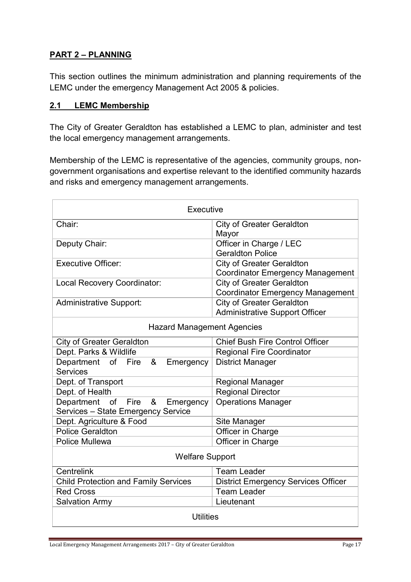## PART 2 – PLANNING

This section outlines the minimum administration and planning requirements of the LEMC under the emergency Management Act 2005 & policies.

#### 2.1 LEMC Membership

The City of Greater Geraldton has established a LEMC to plan, administer and test the local emergency management arrangements.

Membership of the LEMC is representative of the agencies, community groups, nongovernment organisations and expertise relevant to the identified community hazards and risks and emergency management arrangements.

| Executive                                                                        |                                                                             |  |  |  |  |
|----------------------------------------------------------------------------------|-----------------------------------------------------------------------------|--|--|--|--|
| Chair:                                                                           | <b>City of Greater Geraldton</b><br>Mayor                                   |  |  |  |  |
| Deputy Chair:                                                                    | Officer in Charge / LEC<br><b>Geraldton Police</b>                          |  |  |  |  |
| <b>Executive Officer:</b>                                                        | <b>City of Greater Geraldton</b><br><b>Coordinator Emergency Management</b> |  |  |  |  |
| <b>Local Recovery Coordinator:</b>                                               | <b>City of Greater Geraldton</b><br><b>Coordinator Emergency Management</b> |  |  |  |  |
| <b>Administrative Support:</b>                                                   | <b>City of Greater Geraldton</b><br><b>Administrative Support Officer</b>   |  |  |  |  |
| <b>Hazard Management Agencies</b>                                                |                                                                             |  |  |  |  |
| <b>City of Greater Geraldton</b>                                                 | <b>Chief Bush Fire Control Officer</b>                                      |  |  |  |  |
| Dept. Parks & Wildlife                                                           | <b>Regional Fire Coordinator</b>                                            |  |  |  |  |
| Department<br>of Fire<br>&<br>Emergency<br><b>Services</b>                       | <b>District Manager</b>                                                     |  |  |  |  |
| Dept. of Transport                                                               | <b>Regional Manager</b>                                                     |  |  |  |  |
| Dept. of Health                                                                  | <b>Regional Director</b>                                                    |  |  |  |  |
| Department<br>Fire<br>&<br>of<br>Emergency<br>Services - State Emergency Service | <b>Operations Manager</b>                                                   |  |  |  |  |
| Dept. Agriculture & Food                                                         | Site Manager                                                                |  |  |  |  |
| <b>Police Geraldton</b>                                                          | Officer in Charge                                                           |  |  |  |  |
| <b>Police Mullewa</b>                                                            | Officer in Charge                                                           |  |  |  |  |
| <b>Welfare Support</b>                                                           |                                                                             |  |  |  |  |
| Centrelink                                                                       | <b>Team Leader</b>                                                          |  |  |  |  |
| <b>Child Protection and Family Services</b>                                      | <b>District Emergency Services Officer</b>                                  |  |  |  |  |
| <b>Red Cross</b>                                                                 | <b>Team Leader</b>                                                          |  |  |  |  |
| <b>Salvation Army</b>                                                            | Lieutenant                                                                  |  |  |  |  |
| <b>Utilities</b>                                                                 |                                                                             |  |  |  |  |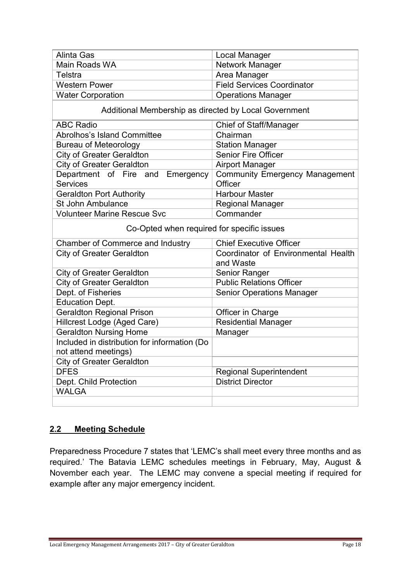| <b>Alinta Gas</b>                                      | Local Manager                                    |  |  |  |  |
|--------------------------------------------------------|--------------------------------------------------|--|--|--|--|
| Main Roads WA                                          | Network Manager                                  |  |  |  |  |
| Telstra                                                | Area Manager                                     |  |  |  |  |
| <b>Western Power</b>                                   | <b>Field Services Coordinator</b>                |  |  |  |  |
| <b>Water Corporation</b>                               | <b>Operations Manager</b>                        |  |  |  |  |
| Additional Membership as directed by Local Government  |                                                  |  |  |  |  |
| <b>ABC Radio</b>                                       | <b>Chief of Staff/Manager</b>                    |  |  |  |  |
| <b>Abrolhos's Island Committee</b>                     | Chairman                                         |  |  |  |  |
| <b>Bureau of Meteorology</b>                           | <b>Station Manager</b>                           |  |  |  |  |
| <b>City of Greater Geraldton</b>                       | Senior Fire Officer                              |  |  |  |  |
| <b>City of Greater Geraldton</b>                       | <b>Airport Manager</b>                           |  |  |  |  |
| Department of Fire and<br>Emergency<br><b>Services</b> | <b>Community Emergency Management</b><br>Officer |  |  |  |  |
| <b>Geraldton Port Authority</b>                        | <b>Harbour Master</b>                            |  |  |  |  |
| St John Ambulance                                      | <b>Regional Manager</b>                          |  |  |  |  |
| <b>Volunteer Marine Rescue Svc</b>                     | Commander                                        |  |  |  |  |
| Co-Opted when required for specific issues             |                                                  |  |  |  |  |
| <b>Chamber of Commerce and Industry</b>                | <b>Chief Executive Officer</b>                   |  |  |  |  |
| <b>City of Greater Geraldton</b>                       | Coordinator of Environmental Health<br>and Waste |  |  |  |  |
| <b>City of Greater Geraldton</b>                       | <b>Senior Ranger</b>                             |  |  |  |  |
| <b>City of Greater Geraldton</b>                       | <b>Public Relations Officer</b>                  |  |  |  |  |
| Dept. of Fisheries                                     | <b>Senior Operations Manager</b>                 |  |  |  |  |
| <b>Education Dept.</b>                                 |                                                  |  |  |  |  |
| <b>Geraldton Regional Prison</b>                       | Officer in Charge                                |  |  |  |  |
| Hillcrest Lodge (Aged Care)                            | <b>Residential Manager</b>                       |  |  |  |  |
| <b>Geraldton Nursing Home</b>                          | Manager                                          |  |  |  |  |
| Included in distribution for information (Do           |                                                  |  |  |  |  |
| not attend meetings)                                   |                                                  |  |  |  |  |
| <b>City of Greater Geraldton</b>                       |                                                  |  |  |  |  |
| <b>DFES</b>                                            | <b>Regional Superintendent</b>                   |  |  |  |  |
| Dept. Child Protection                                 | <b>District Director</b>                         |  |  |  |  |
| <b>WALGA</b>                                           |                                                  |  |  |  |  |
|                                                        |                                                  |  |  |  |  |

#### 2.2 Meeting Schedule

Preparedness Procedure 7 states that 'LEMC's shall meet every three months and as required.' The Batavia LEMC schedules meetings in February, May, August & November each year. The LEMC may convene a special meeting if required for example after any major emergency incident.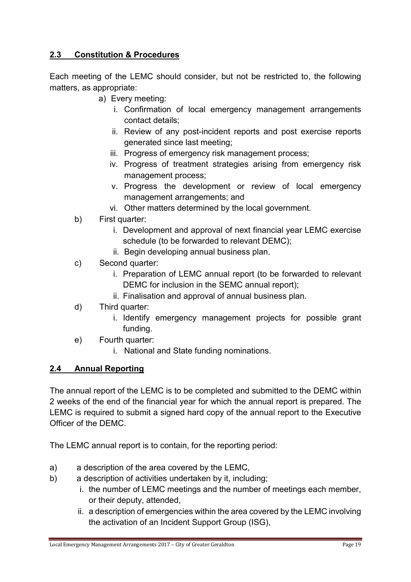## 2.3 Constitution & Procedures

Each meeting of the LEMC should consider, but not be restricted to, the following matters, as appropriate:

- a) Every meeting:
	- i. Confirmation of local emergency management arrangements contact details;
	- ii. Review of any post-incident reports and post exercise reports generated since last meeting;
	- iii. Progress of emergency risk management process;
	- iv. Progress of treatment strategies arising from emergency risk management process;
	- v. Progress the development or review of local emergency management arrangements; and
	- vi. Other matters determined by the local government.
- b) First quarter:
	- i. Development and approval of next financial year LEMC exercise schedule (to be forwarded to relevant DEMC);
	- ii. Begin developing annual business plan.
- c) Second quarter:
	- i. Preparation of LEMC annual report (to be forwarded to relevant DEMC for inclusion in the SEMC annual report);
	- ii. Finalisation and approval of annual business plan.
- d) Third quarter:
	- i. Identify emergency management projects for possible grant funding.
- e) Fourth quarter:
	- i. National and State funding nominations.

## 2.4 Annual Reporting

The annual report of the LEMC is to be completed and submitted to the DEMC within 2 weeks of the end of the financial year for which the annual report is prepared. The LEMC is required to submit a signed hard copy of the annual report to the Executive Officer of the DEMC.

The LEMC annual report is to contain, for the reporting period:

- a) a description of the area covered by the LEMC,
- b) a description of activities undertaken by it, including;
	- i. the number of LEMC meetings and the number of meetings each member, or their deputy, attended,
	- ii. a description of emergencies within the area covered by the LEMC involving the activation of an Incident Support Group (ISG),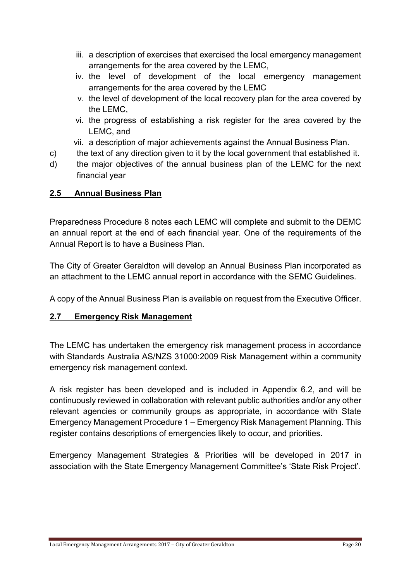- iii. a description of exercises that exercised the local emergency management arrangements for the area covered by the LEMC,
- iv. the level of development of the local emergency management arrangements for the area covered by the LEMC
- v. the level of development of the local recovery plan for the area covered by the LEMC,
- vi. the progress of establishing a risk register for the area covered by the LEMC, and
- vii. a description of major achievements against the Annual Business Plan.
- c) the text of any direction given to it by the local government that established it.
- d) the major objectives of the annual business plan of the LEMC for the next financial year

## 2.5 Annual Business Plan

Preparedness Procedure 8 notes each LEMC will complete and submit to the DEMC an annual report at the end of each financial year. One of the requirements of the Annual Report is to have a Business Plan.

The City of Greater Geraldton will develop an Annual Business Plan incorporated as an attachment to the LEMC annual report in accordance with the SEMC Guidelines.

A copy of the Annual Business Plan is available on request from the Executive Officer.

## 2.7 Emergency Risk Management

The LEMC has undertaken the emergency risk management process in accordance with Standards Australia AS/NZS 31000:2009 Risk Management within a community emergency risk management context.

A risk register has been developed and is included in Appendix 6.2, and will be continuously reviewed in collaboration with relevant public authorities and/or any other relevant agencies or community groups as appropriate, in accordance with State Emergency Management Procedure 1 – Emergency Risk Management Planning. This register contains descriptions of emergencies likely to occur, and priorities.

Emergency Management Strategies & Priorities will be developed in 2017 in association with the State Emergency Management Committee's 'State Risk Project'.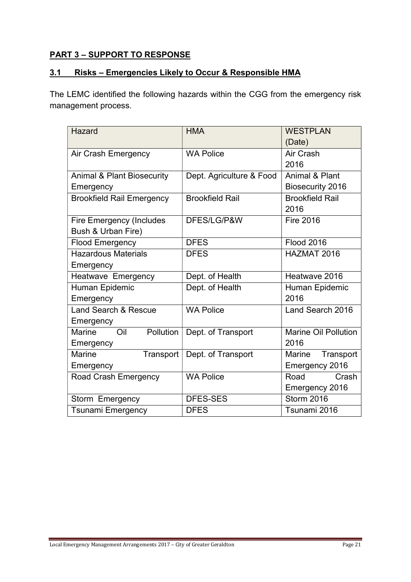## PART 3 – SUPPORT TO RESPONSE

#### 3.1 Risks – Emergencies Likely to Occur & Responsible HMA

The LEMC identified the following hazards within the CGG from the emergency risk management process.

| <b>Hazard</b>                         | <b>HMA</b>               | <b>WESTPLAN</b>             |  |  |
|---------------------------------------|--------------------------|-----------------------------|--|--|
|                                       |                          | (Date)                      |  |  |
| Air Crash Emergency                   | <b>WA Police</b>         | Air Crash                   |  |  |
|                                       |                          | 2016                        |  |  |
| <b>Animal &amp; Plant Biosecurity</b> | Dept. Agriculture & Food | <b>Animal &amp; Plant</b>   |  |  |
| Emergency                             |                          | <b>Biosecurity 2016</b>     |  |  |
| <b>Brookfield Rail Emergency</b>      | <b>Brookfield Rail</b>   | <b>Brookfield Rail</b>      |  |  |
|                                       |                          | 2016                        |  |  |
| <b>Fire Emergency (Includes</b>       | DFES/LG/P&W              | <b>Fire 2016</b>            |  |  |
| Bush & Urban Fire)                    |                          |                             |  |  |
| <b>Flood Emergency</b>                | <b>DFES</b>              | <b>Flood 2016</b>           |  |  |
| <b>Hazardous Materials</b>            | <b>DFES</b>              | HAZMAT 2016                 |  |  |
| Emergency                             |                          |                             |  |  |
| <b>Heatwave Emergency</b>             | Dept. of Health          | Heatwave 2016               |  |  |
| Human Epidemic                        | Dept. of Health          | Human Epidemic              |  |  |
| Emergency                             |                          | 2016                        |  |  |
| Land Search & Rescue                  | <b>WA Police</b>         | Land Search 2016            |  |  |
| Emergency                             |                          |                             |  |  |
| Marine<br>Pollution<br>Oil            | Dept. of Transport       | <b>Marine Oil Pollution</b> |  |  |
| Emergency                             |                          | 2016                        |  |  |
| Marine<br>Transport                   | Dept. of Transport       | Transport<br>Marine         |  |  |
| Emergency                             |                          | Emergency 2016              |  |  |
| <b>Road Crash Emergency</b>           | <b>WA Police</b>         | Road<br>Crash               |  |  |
|                                       |                          | Emergency 2016              |  |  |
| Storm Emergency                       | <b>DFES-SES</b>          | <b>Storm 2016</b>           |  |  |
| <b>Tsunami Emergency</b>              | <b>DFES</b>              | Tsunami 2016                |  |  |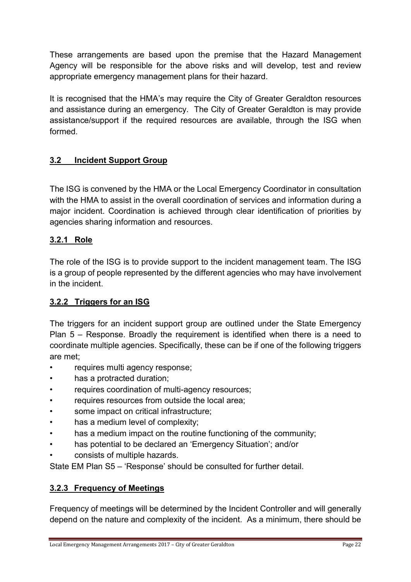These arrangements are based upon the premise that the Hazard Management Agency will be responsible for the above risks and will develop, test and review appropriate emergency management plans for their hazard.

It is recognised that the HMA's may require the City of Greater Geraldton resources and assistance during an emergency. The City of Greater Geraldton is may provide assistance/support if the required resources are available, through the ISG when formed.

## 3.2 Incident Support Group

The ISG is convened by the HMA or the Local Emergency Coordinator in consultation with the HMA to assist in the overall coordination of services and information during a major incident. Coordination is achieved through clear identification of priorities by agencies sharing information and resources.

#### 3.2.1 Role

The role of the ISG is to provide support to the incident management team. The ISG is a group of people represented by the different agencies who may have involvement in the incident.

#### 3.2.2 Triggers for an ISG

The triggers for an incident support group are outlined under the State Emergency Plan 5 – Response. Broadly the requirement is identified when there is a need to coordinate multiple agencies. Specifically, these can be if one of the following triggers are met;

- requires multi agency response;
- has a protracted duration;
- requires coordination of multi-agency resources;
- requires resources from outside the local area;
- some impact on critical infrastructure;
- has a medium level of complexity:
- has a medium impact on the routine functioning of the community;
- has potential to be declared an 'Emergency Situation'; and/or
- consists of multiple hazards.

State EM Plan S5 – 'Response' should be consulted for further detail.

#### 3.2.3 Frequency of Meetings

Frequency of meetings will be determined by the Incident Controller and will generally depend on the nature and complexity of the incident. As a minimum, there should be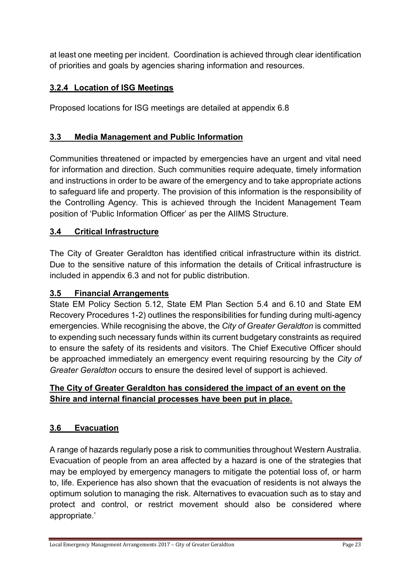at least one meeting per incident. Coordination is achieved through clear identification of priorities and goals by agencies sharing information and resources.

## 3.2.4 Location of ISG Meetings

Proposed locations for ISG meetings are detailed at appendix 6.8

## 3.3 Media Management and Public Information

Communities threatened or impacted by emergencies have an urgent and vital need for information and direction. Such communities require adequate, timely information and instructions in order to be aware of the emergency and to take appropriate actions to safeguard life and property. The provision of this information is the responsibility of the Controlling Agency. This is achieved through the Incident Management Team position of 'Public Information Officer' as per the AIIMS Structure.

#### 3.4 Critical Infrastructure

The City of Greater Geraldton has identified critical infrastructure within its district. Due to the sensitive nature of this information the details of Critical infrastructure is included in appendix 6.3 and not for public distribution.

#### 3.5 Financial Arrangements

State EM Policy Section 5.12, State EM Plan Section 5.4 and 6.10 and State EM Recovery Procedures 1-2) outlines the responsibilities for funding during multi-agency emergencies. While recognising the above, the City of Greater Geraldton is committed to expending such necessary funds within its current budgetary constraints as required to ensure the safety of its residents and visitors. The Chief Executive Officer should be approached immediately an emergency event requiring resourcing by the City of Greater Geraldton occurs to ensure the desired level of support is achieved.

## The City of Greater Geraldton has considered the impact of an event on the Shire and internal financial processes have been put in place.

#### 3.6 Evacuation

A range of hazards regularly pose a risk to communities throughout Western Australia. Evacuation of people from an area affected by a hazard is one of the strategies that may be employed by emergency managers to mitigate the potential loss of, or harm to, life. Experience has also shown that the evacuation of residents is not always the optimum solution to managing the risk. Alternatives to evacuation such as to stay and protect and control, or restrict movement should also be considered where appropriate.'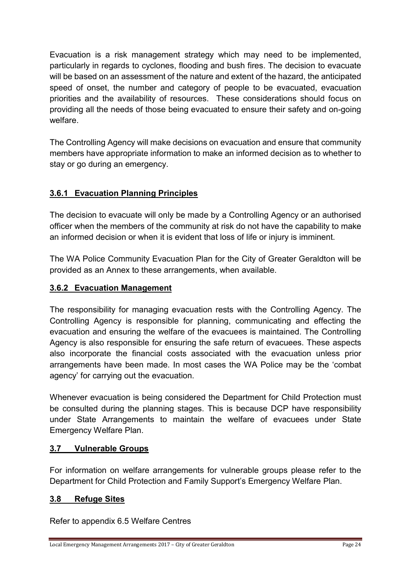Evacuation is a risk management strategy which may need to be implemented, particularly in regards to cyclones, flooding and bush fires. The decision to evacuate will be based on an assessment of the nature and extent of the hazard, the anticipated speed of onset, the number and category of people to be evacuated, evacuation priorities and the availability of resources. These considerations should focus on providing all the needs of those being evacuated to ensure their safety and on-going welfare.

The Controlling Agency will make decisions on evacuation and ensure that community members have appropriate information to make an informed decision as to whether to stay or go during an emergency.

## 3.6.1 Evacuation Planning Principles

The decision to evacuate will only be made by a Controlling Agency or an authorised officer when the members of the community at risk do not have the capability to make an informed decision or when it is evident that loss of life or injury is imminent.

The WA Police Community Evacuation Plan for the City of Greater Geraldton will be provided as an Annex to these arrangements, when available.

## 3.6.2 Evacuation Management

The responsibility for managing evacuation rests with the Controlling Agency. The Controlling Agency is responsible for planning, communicating and effecting the evacuation and ensuring the welfare of the evacuees is maintained. The Controlling Agency is also responsible for ensuring the safe return of evacuees. These aspects also incorporate the financial costs associated with the evacuation unless prior arrangements have been made. In most cases the WA Police may be the 'combat agency' for carrying out the evacuation.

Whenever evacuation is being considered the Department for Child Protection must be consulted during the planning stages. This is because DCP have responsibility under State Arrangements to maintain the welfare of evacuees under State Emergency Welfare Plan.

#### 3.7 Vulnerable Groups

For information on welfare arrangements for vulnerable groups please refer to the Department for Child Protection and Family Support's Emergency Welfare Plan.

#### 3.8 Refuge Sites

Refer to appendix 6.5 Welfare Centres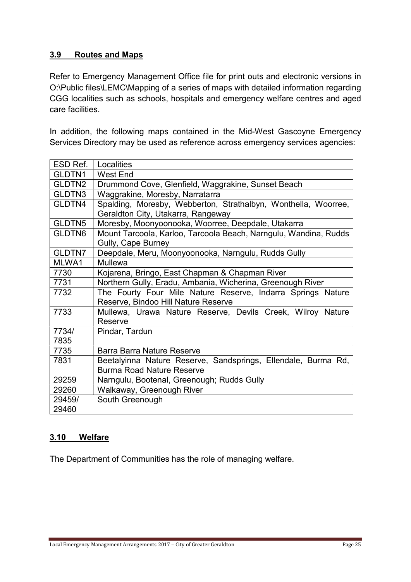#### 3.9 Routes and Maps

Refer to Emergency Management Office file for print outs and electronic versions in O:\Public files\LEMC\Mapping of a series of maps with detailed information regarding CGG localities such as schools, hospitals and emergency welfare centres and aged care facilities.

In addition, the following maps contained in the Mid-West Gascoyne Emergency Services Directory may be used as reference across emergency services agencies:

| ESD Ref.           | Localities                                                       |  |  |  |
|--------------------|------------------------------------------------------------------|--|--|--|
| GLDTN1             | West End                                                         |  |  |  |
| GLDTN2             | Drummond Cove, Glenfield, Waggrakine, Sunset Beach               |  |  |  |
| GLDTN3             | Waggrakine, Moresby, Narratarra                                  |  |  |  |
| GLDTN4             | Spalding, Moresby, Webberton, Strathalbyn, Wonthella, Woorree,   |  |  |  |
|                    | Geraldton City, Utakarra, Rangeway                               |  |  |  |
| GLDTN <sub>5</sub> | Moresby, Moonyoonooka, Woorree, Deepdale, Utakarra               |  |  |  |
| GLDTN6             | Mount Tarcoola, Karloo, Tarcoola Beach, Narngulu, Wandina, Rudds |  |  |  |
|                    | Gully, Cape Burney                                               |  |  |  |
| GLDTN7             | Deepdale, Meru, Moonyoonooka, Narngulu, Rudds Gully              |  |  |  |
| MLWA1              | Mullewa                                                          |  |  |  |
| 7730               | Kojarena, Bringo, East Chapman & Chapman River                   |  |  |  |
| 7731               | Northern Gully, Eradu, Ambania, Wicherina, Greenough River       |  |  |  |
| 7732               | The Fourty Four Mile Nature Reserve, Indarra Springs Nature      |  |  |  |
|                    | Reserve, Bindoo Hill Nature Reserve                              |  |  |  |
| 7733               | Mullewa, Urawa Nature Reserve, Devils Creek, Wilroy Nature       |  |  |  |
|                    | Reserve                                                          |  |  |  |
| 7734/              | Pindar, Tardun                                                   |  |  |  |
| 7835               |                                                                  |  |  |  |
| 7735               | Barra Barra Nature Reserve                                       |  |  |  |
| 7831               | Beetalyinna Nature Reserve, Sandsprings, Ellendale, Burma Rd,    |  |  |  |
|                    | <b>Burma Road Nature Reserve</b>                                 |  |  |  |
| 29259              | Narngulu, Bootenal, Greenough; Rudds Gully                       |  |  |  |
| 29260              | Walkaway, Greenough River                                        |  |  |  |
| 29459/             | South Greenough                                                  |  |  |  |
| 29460              |                                                                  |  |  |  |

#### 3.10 Welfare

The Department of Communities has the role of managing welfare.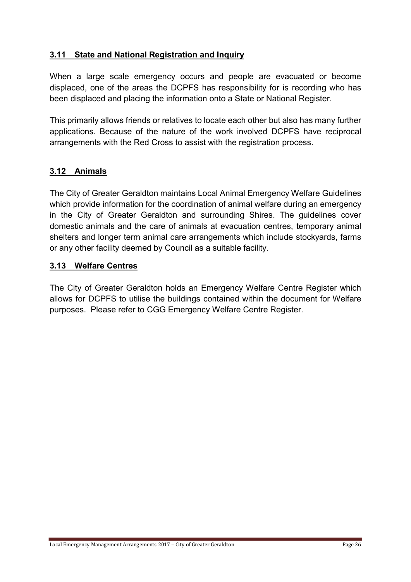### 3.11 State and National Registration and Inquiry

When a large scale emergency occurs and people are evacuated or become displaced, one of the areas the DCPFS has responsibility for is recording who has been displaced and placing the information onto a State or National Register.

This primarily allows friends or relatives to locate each other but also has many further applications. Because of the nature of the work involved DCPFS have reciprocal arrangements with the Red Cross to assist with the registration process.

## 3.12 Animals

The City of Greater Geraldton maintains Local Animal Emergency Welfare Guidelines which provide information for the coordination of animal welfare during an emergency in the City of Greater Geraldton and surrounding Shires. The guidelines cover domestic animals and the care of animals at evacuation centres, temporary animal shelters and longer term animal care arrangements which include stockyards, farms or any other facility deemed by Council as a suitable facility.

#### 3.13 Welfare Centres

The City of Greater Geraldton holds an Emergency Welfare Centre Register which allows for DCPFS to utilise the buildings contained within the document for Welfare purposes. Please refer to CGG Emergency Welfare Centre Register.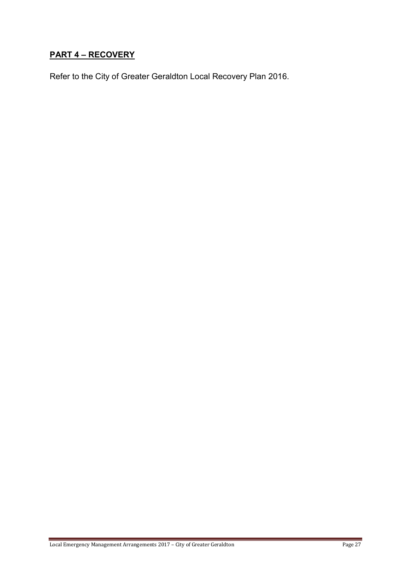## PART 4 – RECOVERY

Refer to the City of Greater Geraldton Local Recovery Plan 2016.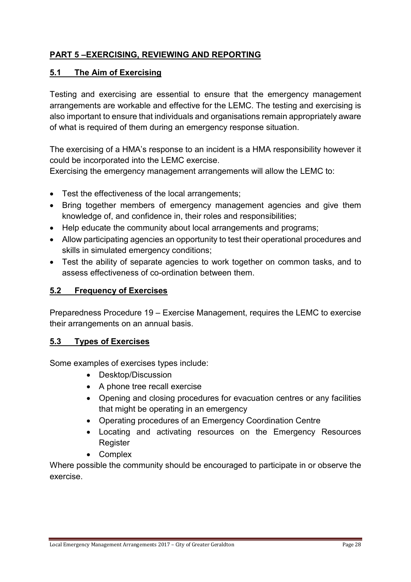## PART 5 –EXERCISING, REVIEWING AND REPORTING

#### 5.1 The Aim of Exercising

Testing and exercising are essential to ensure that the emergency management arrangements are workable and effective for the LEMC. The testing and exercising is also important to ensure that individuals and organisations remain appropriately aware of what is required of them during an emergency response situation.

The exercising of a HMA's response to an incident is a HMA responsibility however it could be incorporated into the LEMC exercise.

Exercising the emergency management arrangements will allow the LEMC to:

- Test the effectiveness of the local arrangements:
- Bring together members of emergency management agencies and give them knowledge of, and confidence in, their roles and responsibilities;
- Help educate the community about local arrangements and programs;
- Allow participating agencies an opportunity to test their operational procedures and skills in simulated emergency conditions;
- Test the ability of separate agencies to work together on common tasks, and to assess effectiveness of co-ordination between them.

### 5.2 Frequency of Exercises

Preparedness Procedure 19 – Exercise Management, requires the LEMC to exercise their arrangements on an annual basis.

#### 5.3 Types of Exercises

Some examples of exercises types include:

- Desktop/Discussion
- A phone tree recall exercise
- Opening and closing procedures for evacuation centres or any facilities that might be operating in an emergency
- Operating procedures of an Emergency Coordination Centre
- Locating and activating resources on the Emergency Resources **Register**
- Complex

Where possible the community should be encouraged to participate in or observe the exercise.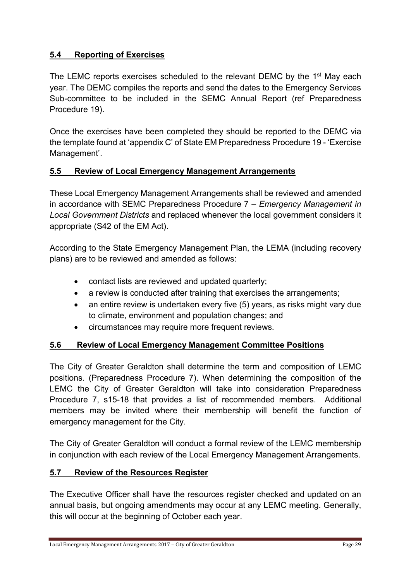## 5.4 Reporting of Exercises

The LEMC reports exercises scheduled to the relevant DEMC by the 1<sup>st</sup> May each year. The DEMC compiles the reports and send the dates to the Emergency Services Sub-committee to be included in the SEMC Annual Report (ref Preparedness Procedure 19).

Once the exercises have been completed they should be reported to the DEMC via the template found at 'appendix C' of State EM Preparedness Procedure 19 - 'Exercise Management'.

#### 5.5 Review of Local Emergency Management Arrangements

These Local Emergency Management Arrangements shall be reviewed and amended in accordance with SEMC Preparedness Procedure  $7$  – Emergency Management in Local Government Districts and replaced whenever the local government considers it appropriate (S42 of the EM Act).

According to the State Emergency Management Plan, the LEMA (including recovery plans) are to be reviewed and amended as follows:

- contact lists are reviewed and updated quarterly;
- a review is conducted after training that exercises the arrangements;
- an entire review is undertaken every five (5) years, as risks might vary due to climate, environment and population changes; and
- circumstances may require more frequent reviews.

#### 5.6 Review of Local Emergency Management Committee Positions

The City of Greater Geraldton shall determine the term and composition of LEMC positions. (Preparedness Procedure 7). When determining the composition of the LEMC the City of Greater Geraldton will take into consideration Preparedness Procedure 7, s15-18 that provides a list of recommended members. Additional members may be invited where their membership will benefit the function of emergency management for the City.

The City of Greater Geraldton will conduct a formal review of the LEMC membership in conjunction with each review of the Local Emergency Management Arrangements.

#### 5.7 Review of the Resources Register

The Executive Officer shall have the resources register checked and updated on an annual basis, but ongoing amendments may occur at any LEMC meeting. Generally, this will occur at the beginning of October each year.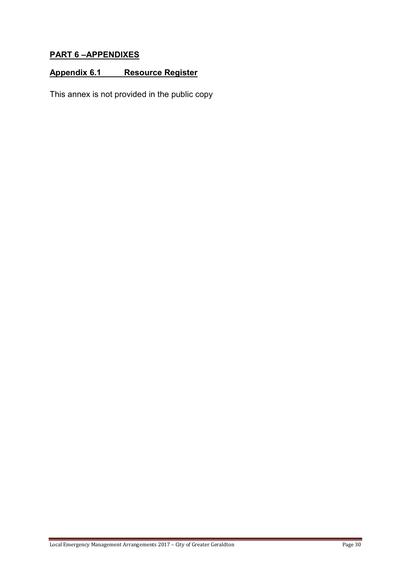## PART 6 –APPENDIXES

## Appendix 6.1 Resource Register

This annex is not provided in the public copy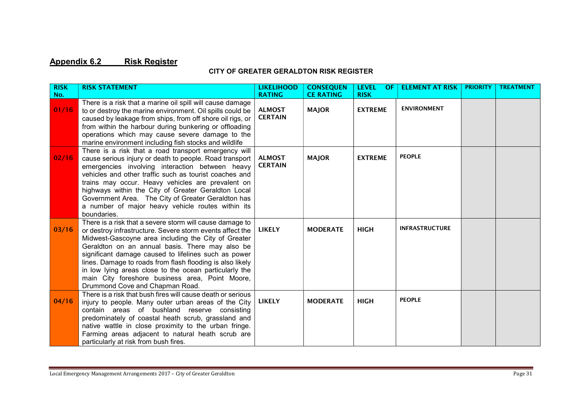## Appendix 6.2 Risk Register

#### CITY OF GREATER GERALDTON RISK REGISTER

| <b>RISK</b> | <b>RISK STATEMENT</b>                                                                                                  | <b>LIKELIHOOD</b>               | <b>CONSEQUEN</b> | <b>LEVEL</b><br>OF | <b>ELEMENT AT RISK</b> | <b>PRIORITY</b> | <b>TREATMENT</b> |
|-------------|------------------------------------------------------------------------------------------------------------------------|---------------------------------|------------------|--------------------|------------------------|-----------------|------------------|
| No.         | There is a risk that a marine oil spill will cause damage                                                              | <b>RATING</b>                   | <b>CE RATING</b> | <b>RISK</b>        | <b>ENVIRONMENT</b>     |                 |                  |
| 01/16       | to or destroy the marine environment. Oil spills could be<br>caused by leakage from ships, from off shore oil rigs, or | <b>ALMOST</b><br><b>CERTAIN</b> | <b>MAJOR</b>     | <b>EXTREME</b>     |                        |                 |                  |
|             | from within the harbour during bunkering or offloading                                                                 |                                 |                  |                    |                        |                 |                  |
|             | operations which may cause severe damage to the                                                                        |                                 |                  |                    |                        |                 |                  |
|             | marine environment including fish stocks and wildlife                                                                  |                                 |                  |                    |                        |                 |                  |
|             | There is a risk that a road transport emergency will                                                                   |                                 |                  |                    |                        |                 |                  |
| 02/16       | cause serious injury or death to people. Road transport                                                                | <b>ALMOST</b><br><b>CERTAIN</b> | <b>MAJOR</b>     | <b>EXTREME</b>     | <b>PEOPLE</b>          |                 |                  |
|             | emergencies involving interaction between heavy<br>vehicles and other traffic such as tourist coaches and              |                                 |                  |                    |                        |                 |                  |
|             | trains may occur. Heavy vehicles are prevalent on                                                                      |                                 |                  |                    |                        |                 |                  |
|             | highways within the City of Greater Geraldton Local                                                                    |                                 |                  |                    |                        |                 |                  |
|             | Government Area. The City of Greater Geraldton has                                                                     |                                 |                  |                    |                        |                 |                  |
|             | a number of major heavy vehicle routes within its                                                                      |                                 |                  |                    |                        |                 |                  |
|             | boundaries.                                                                                                            |                                 |                  |                    |                        |                 |                  |
| 03/16       | There is a risk that a severe storm will cause damage to                                                               | <b>LIKELY</b>                   | <b>MODERATE</b>  | <b>HIGH</b>        | <b>INFRASTRUCTURE</b>  |                 |                  |
|             | or destroy infrastructure. Severe storm events affect the<br>Midwest-Gascoyne area including the City of Greater       |                                 |                  |                    |                        |                 |                  |
|             | Geraldton on an annual basis. There may also be                                                                        |                                 |                  |                    |                        |                 |                  |
|             | significant damage caused to lifelines such as power                                                                   |                                 |                  |                    |                        |                 |                  |
|             | lines. Damage to roads from flash flooding is also likely                                                              |                                 |                  |                    |                        |                 |                  |
|             | in low lying areas close to the ocean particularly the                                                                 |                                 |                  |                    |                        |                 |                  |
|             | main City foreshore business area, Point Moore,                                                                        |                                 |                  |                    |                        |                 |                  |
|             | Drummond Cove and Chapman Road.<br>There is a risk that bush fires will cause death or serious                         |                                 |                  |                    |                        |                 |                  |
| 04/16       | injury to people. Many outer urban areas of the City                                                                   | <b>LIKELY</b>                   | <b>MODERATE</b>  | <b>HIGH</b>        | <b>PEOPLE</b>          |                 |                  |
|             | contain areas of bushland reserve consisting                                                                           |                                 |                  |                    |                        |                 |                  |
|             | predominately of coastal heath scrub, grassland and                                                                    |                                 |                  |                    |                        |                 |                  |
|             | native wattle in close proximity to the urban fringe.                                                                  |                                 |                  |                    |                        |                 |                  |
|             | Farming areas adjacent to natural heath scrub are                                                                      |                                 |                  |                    |                        |                 |                  |
|             | particularly at risk from bush fires.                                                                                  |                                 |                  |                    |                        |                 |                  |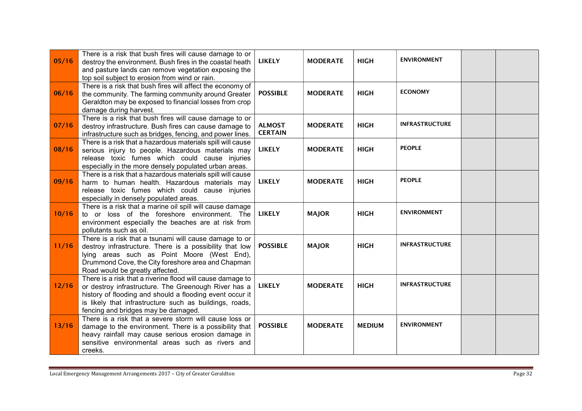| 05/16 | There is a risk that bush fires will cause damage to or<br>destroy the environment. Bush fires in the coastal heath<br>and pasture lands can remove vegetation exposing the<br>top soil subject to erosion from wind or rain.                                                    | <b>LIKELY</b>                   | <b>MODERATE</b> | <b>HIGH</b>   | <b>ENVIRONMENT</b>    |  |
|-------|----------------------------------------------------------------------------------------------------------------------------------------------------------------------------------------------------------------------------------------------------------------------------------|---------------------------------|-----------------|---------------|-----------------------|--|
| 06/16 | There is a risk that bush fires will affect the economy of<br>the community. The farming community around Greater<br>Geraldton may be exposed to financial losses from crop<br>damage during harvest.                                                                            | <b>POSSIBLE</b>                 | <b>MODERATE</b> | <b>HIGH</b>   | <b>ECONOMY</b>        |  |
| 07/16 | There is a risk that bush fires will cause damage to or<br>destroy infrastructure. Bush fires can cause damage to<br>infrastructure such as bridges, fencing, and power lines.                                                                                                   | <b>ALMOST</b><br><b>CERTAIN</b> | <b>MODERATE</b> | <b>HIGH</b>   | <b>INFRASTRUCTURE</b> |  |
| 08/16 | There is a risk that a hazardous materials spill will cause<br>serious injury to people. Hazardous materials may<br>release toxic fumes which could cause injuries<br>especially in the more densely populated urban areas.                                                      | <b>LIKELY</b>                   | <b>MODERATE</b> | <b>HIGH</b>   | <b>PEOPLE</b>         |  |
| 09/16 | There is a risk that a hazardous materials spill will cause<br>harm to human health. Hazardous materials may<br>release toxic fumes which could cause injuries<br>especially in densely populated areas.                                                                         | <b>LIKELY</b>                   | <b>MODERATE</b> | <b>HIGH</b>   | <b>PEOPLE</b>         |  |
| 10/16 | There is a risk that a marine oil spill will cause damage<br>to or loss of the foreshore environment. The<br>environment especially the beaches are at risk from<br>pollutants such as oil.                                                                                      | <b>LIKELY</b>                   | <b>MAJOR</b>    | <b>HIGH</b>   | <b>ENVIRONMENT</b>    |  |
| 11/16 | There is a risk that a tsunami will cause damage to or<br>destroy infrastructure. There is a possibility that low<br>lying areas such as Point Moore (West End),<br>Drummond Cove, the City foreshore area and Chapman<br>Road would be greatly affected.                        | <b>POSSIBLE</b>                 | <b>MAJOR</b>    | <b>HIGH</b>   | <b>INFRASTRUCTURE</b> |  |
| 12/16 | There is a risk that a riverine flood will cause damage to<br>or destroy infrastructure. The Greenough River has a<br>history of flooding and should a flooding event occur it<br>is likely that infrastructure such as buildings, roads,<br>fencing and bridges may be damaged. | <b>LIKELY</b>                   | <b>MODERATE</b> | <b>HIGH</b>   | <b>INFRASTRUCTURE</b> |  |
| 13/16 | There is a risk that a severe storm will cause loss or<br>damage to the environment. There is a possibility that<br>heavy rainfall may cause serious erosion damage in<br>sensitive environmental areas such as rivers and<br>creeks.                                            | <b>POSSIBLE</b>                 | <b>MODERATE</b> | <b>MEDIUM</b> | <b>ENVIRONMENT</b>    |  |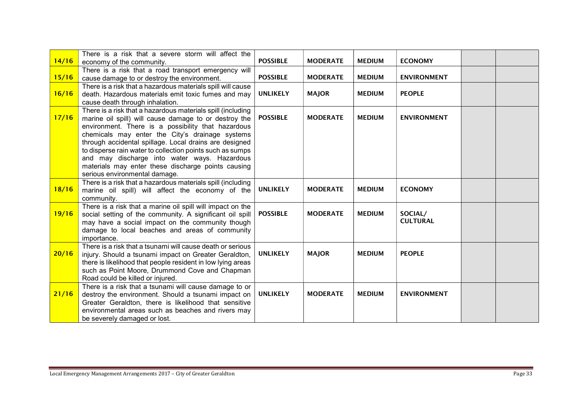|       | There is a risk that a severe storm will affect the                      |                 |                 |               |                    |  |
|-------|--------------------------------------------------------------------------|-----------------|-----------------|---------------|--------------------|--|
| 14/16 | economy of the community.                                                | <b>POSSIBLE</b> | <b>MODERATE</b> | <b>MEDIUM</b> | <b>ECONOMY</b>     |  |
|       | There is a risk that a road transport emergency will                     |                 |                 |               |                    |  |
| 15/16 | cause damage to or destroy the environment.                              | <b>POSSIBLE</b> | <b>MODERATE</b> | <b>MEDIUM</b> | <b>ENVIRONMENT</b> |  |
|       | There is a risk that a hazardous materials spill will cause              |                 |                 |               |                    |  |
| 16/16 | death. Hazardous materials emit toxic fumes and may                      | <b>UNLIKELY</b> | <b>MAJOR</b>    | <b>MEDIUM</b> | <b>PEOPLE</b>      |  |
|       | cause death through inhalation.                                          |                 |                 |               |                    |  |
|       | There is a risk that a hazardous materials spill (including              |                 |                 |               |                    |  |
| 17/16 | marine oil spill) will cause damage to or destroy the                    | <b>POSSIBLE</b> | <b>MODERATE</b> | <b>MEDIUM</b> | <b>ENVIRONMENT</b> |  |
|       | environment. There is a possibility that hazardous                       |                 |                 |               |                    |  |
|       | chemicals may enter the City's drainage systems                          |                 |                 |               |                    |  |
|       | through accidental spillage. Local drains are designed                   |                 |                 |               |                    |  |
|       | to disperse rain water to collection points such as sumps                |                 |                 |               |                    |  |
|       | and may discharge into water ways. Hazardous                             |                 |                 |               |                    |  |
|       | materials may enter these discharge points causing                       |                 |                 |               |                    |  |
|       | serious environmental damage.                                            |                 |                 |               |                    |  |
| 18/16 | There is a risk that a hazardous materials spill (including              | <b>UNLIKELY</b> | <b>MODERATE</b> | <b>MEDIUM</b> | <b>ECONOMY</b>     |  |
|       | marine oil spill) will affect the economy of the                         |                 |                 |               |                    |  |
|       | community.<br>There is a risk that a marine oil spill will impact on the |                 |                 |               |                    |  |
| 19/16 | social setting of the community. A significant oil spill                 | <b>POSSIBLE</b> | <b>MODERATE</b> | <b>MEDIUM</b> | SOCIAL/            |  |
|       | may have a social impact on the community though                         |                 |                 |               | <b>CULTURAL</b>    |  |
|       | damage to local beaches and areas of community                           |                 |                 |               |                    |  |
|       | importance.                                                              |                 |                 |               |                    |  |
|       | There is a risk that a tsunami will cause death or serious               |                 |                 |               |                    |  |
| 20/16 | injury. Should a tsunami impact on Greater Geraldton,                    | <b>UNLIKELY</b> | <b>MAJOR</b>    | <b>MEDIUM</b> | <b>PEOPLE</b>      |  |
|       | there is likelihood that people resident in low lying areas              |                 |                 |               |                    |  |
|       | such as Point Moore, Drummond Cove and Chapman                           |                 |                 |               |                    |  |
|       | Road could be killed or injured.                                         |                 |                 |               |                    |  |
|       | There is a risk that a tsunami will cause damage to or                   |                 |                 |               |                    |  |
| 21/16 | destroy the environment. Should a tsunami impact on                      | <b>UNLIKELY</b> | <b>MODERATE</b> | <b>MEDIUM</b> | <b>ENVIRONMENT</b> |  |
|       | Greater Geraldton, there is likelihood that sensitive                    |                 |                 |               |                    |  |
|       | environmental areas such as beaches and rivers may                       |                 |                 |               |                    |  |
|       | be severely damaged or lost.                                             |                 |                 |               |                    |  |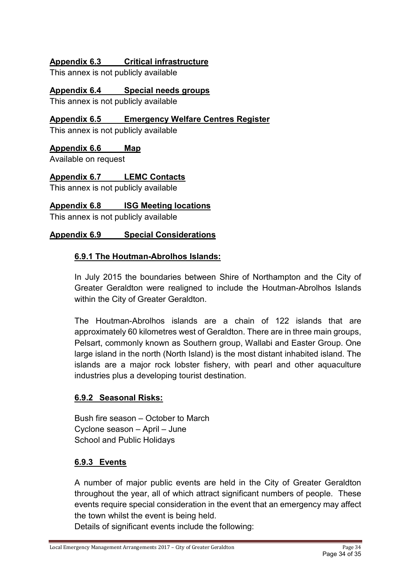## Appendix 6.3 Critical infrastructure

This annex is not publicly available

Appendix 6.4 Special needs groups

This annex is not publicly available

### Appendix 6.5 Emergency Welfare Centres Register

This annex is not publicly available

#### Appendix 6.6 Map

Available on request

## Appendix 6.7 LEMC Contacts

This annex is not publicly available

#### Appendix 6.8 ISG Meeting locations

This annex is not publicly available

## Appendix 6.9 Special Considerations

#### 6.9.1 The Houtman-Abrolhos Islands:

In July 2015 the boundaries between Shire of Northampton and the City of Greater Geraldton were realigned to include the Houtman-Abrolhos Islands within the City of Greater Geraldton.

The Houtman-Abrolhos islands are a chain of 122 islands that are approximately 60 kilometres west of Geraldton. There are in three main groups, Pelsart, commonly known as Southern group, Wallabi and Easter Group. One large island in the north (North Island) is the most distant inhabited island. The islands are a major rock lobster fishery, with pearl and other aquaculture industries plus a developing tourist destination.

#### 6.9.2 Seasonal Risks:

Bush fire season – October to March Cyclone season – April – June School and Public Holidays

#### 6.9.3 Events

A number of major public events are held in the City of Greater Geraldton throughout the year, all of which attract significant numbers of people. These events require special consideration in the event that an emergency may affect the town whilst the event is being held.

Details of significant events include the following: